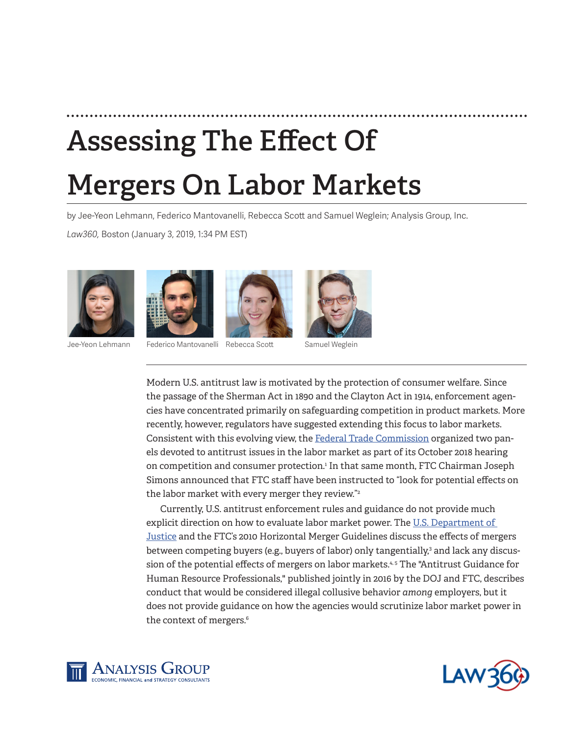# **Assessing The Effect Of**

# **Mergers On Labor Markets**

by Jee-Yeon Lehmann, Federico Mantovanelli, Rebecca Scott and Samuel Weglein; Analysis Group, Inc.

*Law360,* Boston (January 3, 2019, 1:34 PM EST)









Jee-Yeon Lehmann Federico Mantovanelli Rebecca Scott Samuel Weglein

Modern U.S. antitrust law is motivated by the protection of consumer welfare. Since the passage of the Sherman Act in 1890 and the Clayton Act in 1914, enforcement agencies have concentrated primarily on safeguarding competition in product markets. More recently, however, regulators have suggested extending this focus to labor markets. Consistent with this evolving view, the [Federal Trade Commission](https://www.law360.com/agencies/federal-trade-commission) organized two panels devoted to antitrust issues in the labor market as part of its October 2018 hearing on competition and consumer protection.1 In that same month, FTC Chairman Joseph Simons announced that FTC staff have been instructed to "look for potential effects on the labor market with every merger they review."2

Currently, U.S. antitrust enforcement rules and guidance do not provide much explicit direction on how to evaluate labor market power. The U.S. Department of [Justice](https://www.law360.com/agencies/u-s-department-of-justice) and the FTC's 2010 Horizontal Merger Guidelines discuss the effects of mergers between competing buyers (e.g., buyers of labor) only tangentially,<sup>3</sup> and lack any discussion of the potential effects of mergers on labor markets.<sup>4,5</sup> The "Antitrust Guidance for Human Resource Professionals," published jointly in 2016 by the DOJ and FTC, describes conduct that would be considered illegal collusive behavior *among* employers, but it does not provide guidance on how the agencies would scrutinize labor market power in the context of mergers.<sup>6</sup>



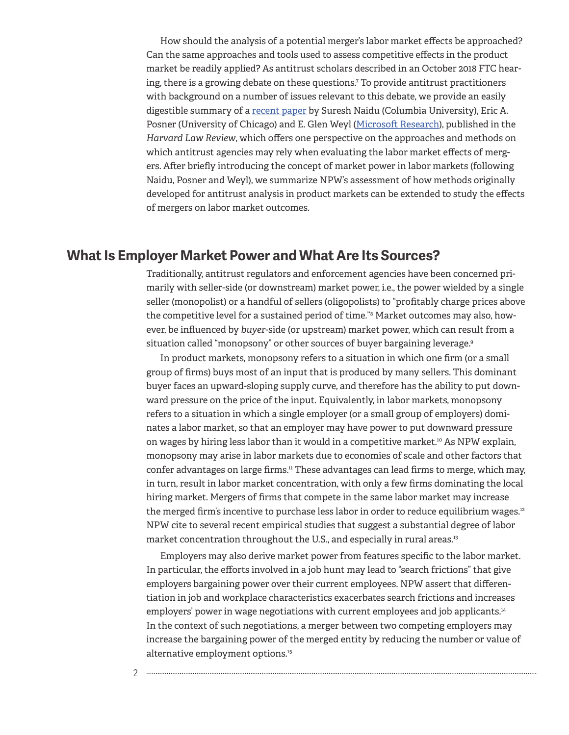How should the analysis of a potential merger's labor market effects be approached? Can the same approaches and tools used to assess competitive effects in the product market be readily applied? As antitrust scholars described in an October 2018 FTC hearing, there is a growing debate on these questions.7 To provide antitrust practitioners with background on a number of issues relevant to this debate, we provide an easily digestible summary of a [recent paper](https://harvardlawreview.org/wp-content/uploads/2018/12/536-601_Online.pdf) by Suresh Naidu (Columbia University), Eric A. Posner (University of Chicago) and E. Glen Weyl [\(Microsoft Research\)](https://www.law360.com/companies/microsoft-corporation), published in the *Harvard Law Review*, which offers one perspective on the approaches and methods on which antitrust agencies may rely when evaluating the labor market effects of mergers. After briefly introducing the concept of market power in labor markets (following Naidu, Posner and Weyl), we summarize NPW's assessment of how methods originally developed for antitrust analysis in product markets can be extended to study the effects of mergers on labor market outcomes.

### **What Is Employer Market Power and What Are Its Sources?**

Traditionally, antitrust regulators and enforcement agencies have been concerned primarily with seller-side (or downstream) market power, i.e., the power wielded by a single seller (monopolist) or a handful of sellers (oligopolists) to "profitably charge prices above the competitive level for a sustained period of time."<sup>8</sup> Market outcomes may also, however, be influenced by *buyer*-side (or upstream) market power, which can result from a situation called "monopsony" or other sources of buyer bargaining leverage.<sup>9</sup>

In product markets, monopsony refers to a situation in which one firm (or a small group of firms) buys most of an input that is produced by many sellers. This dominant buyer faces an upward-sloping supply curve, and therefore has the ability to put downward pressure on the price of the input. Equivalently, in labor markets, monopsony refers to a situation in which a single employer (or a small group of employers) dominates a labor market, so that an employer may have power to put downward pressure on wages by hiring less labor than it would in a competitive market.<sup>10</sup> As NPW explain, monopsony may arise in labor markets due to economies of scale and other factors that confer advantages on large firms.<sup>11</sup> These advantages can lead firms to merge, which may, in turn, result in labor market concentration, with only a few firms dominating the local hiring market. Mergers of firms that compete in the same labor market may increase the merged firm's incentive to purchase less labor in order to reduce equilibrium wages.<sup>12</sup> NPW cite to several recent empirical studies that suggest a substantial degree of labor market concentration throughout the U.S., and especially in rural areas.<sup>13</sup>

Employers may also derive market power from features specific to the labor market. In particular, the efforts involved in a job hunt may lead to "search frictions" that give employers bargaining power over their current employees. NPW assert that differentiation in job and workplace characteristics exacerbates search frictions and increases employers' power in wage negotiations with current employees and job applicants.<sup>14</sup> In the context of such negotiations, a merger between two competing employers may increase the bargaining power of the merged entity by reducing the number or value of alternative employment options.15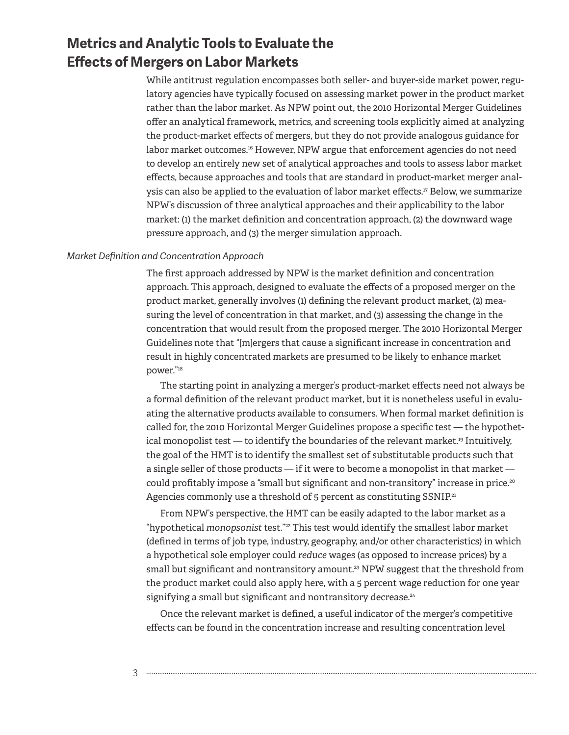# **Metrics and Analytic Tools to Evaluate the Effects of Mergers on Labor Markets**

While antitrust regulation encompasses both seller- and buyer-side market power, regulatory agencies have typically focused on assessing market power in the product market rather than the labor market. As NPW point out, the 2010 Horizontal Merger Guidelines offer an analytical framework, metrics, and screening tools explicitly aimed at analyzing the product-market effects of mergers, but they do not provide analogous guidance for labor market outcomes.<sup>16</sup> However, NPW argue that enforcement agencies do not need to develop an entirely new set of analytical approaches and tools to assess labor market effects, because approaches and tools that are standard in product-market merger analysis can also be applied to the evaluation of labor market effects.<sup>17</sup> Below, we summarize NPW's discussion of three analytical approaches and their applicability to the labor market: (1) the market definition and concentration approach, (2) the downward wage pressure approach, and (3) the merger simulation approach.

#### *Market Definition and Concentration Approach*

The first approach addressed by NPW is the market definition and concentration approach. This approach, designed to evaluate the effects of a proposed merger on the product market, generally involves (1) defining the relevant product market, (2) measuring the level of concentration in that market, and (3) assessing the change in the concentration that would result from the proposed merger. The 2010 Horizontal Merger Guidelines note that "[m]ergers that cause a significant increase in concentration and result in highly concentrated markets are presumed to be likely to enhance market power."18

The starting point in analyzing a merger's product-market effects need not always be a formal definition of the relevant product market, but it is nonetheless useful in evaluating the alternative products available to consumers. When formal market definition is called for, the 2010 Horizontal Merger Guidelines propose a specific test — the hypothetical monopolist test — to identify the boundaries of the relevant market.<sup>19</sup> Intuitively, the goal of the HMT is to identify the smallest set of substitutable products such that a single seller of those products — if it were to become a monopolist in that market could profitably impose a "small but significant and non-transitory" increase in price.<sup>20</sup> Agencies commonly use a threshold of 5 percent as constituting SSNIP.<sup>21</sup>

From NPW's perspective, the HMT can be easily adapted to the labor market as a "hypothetical *monopsonist* test."22 This test would identify the smallest labor market (defined in terms of job type, industry, geography, and/or other characteristics) in which a hypothetical sole employer could *reduce* wages (as opposed to increase prices) by a small but significant and nontransitory amount.<sup>23</sup> NPW suggest that the threshold from the product market could also apply here, with a 5 percent wage reduction for one year signifying a small but significant and nontransitory decrease.<sup>24</sup>

Once the relevant market is defined, a useful indicator of the merger's competitive effects can be found in the concentration increase and resulting concentration level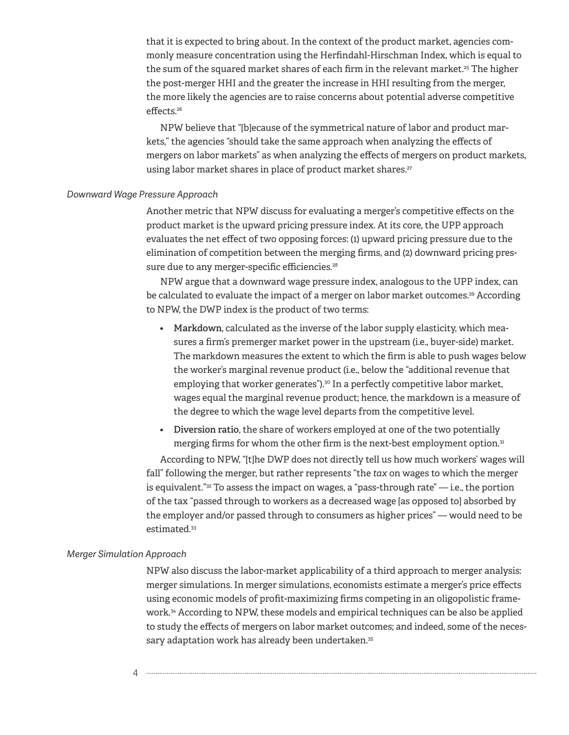that it is expected to bring about. In the context of the product market, agencies commonly measure concentration using the Herfindahl-Hirschman Index, which is equal to the sum of the squared market shares of each firm in the relevant market.<sup>25</sup> The higher the post-merger HHI and the greater the increase in HHI resulting from the merger, the more likely the agencies are to raise concerns about potential adverse competitive effects.26

NPW believe that "[b]ecause of the symmetrical nature of labor and product markets," the agencies "should take the same approach when analyzing the effects of mergers on labor markets" as when analyzing the effects of mergers on product markets, using labor market shares in place of product market shares.<sup>27</sup>

#### *Downward Wage Pressure Approach*

Another metric that NPW discuss for evaluating a merger's competitive effects on the product market is the upward pricing pressure index. At its core, the UPP approach evaluates the net effect of two opposing forces: (1) upward pricing pressure due to the elimination of competition between the merging firms, and (2) downward pricing pressure due to any merger-specific efficiencies.<sup>28</sup>

NPW argue that a downward wage pressure index, analogous to the UPP index, can be calculated to evaluate the impact of a merger on labor market outcomes.<sup>29</sup> According to NPW, the DWP index is the product of two terms:

- **• Markdown**, calculated as the inverse of the labor supply elasticity, which measures a firm's premerger market power in the upstream (i.e., buyer-side) market. The markdown measures the extent to which the firm is able to push wages below the worker's marginal revenue product (i.e., below the "additional revenue that employing that worker generates").<sup>30</sup> In a perfectly competitive labor market, wages equal the marginal revenue product; hence, the markdown is a measure of the degree to which the wage level departs from the competitive level.
- **• Diversion ratio**, the share of workers employed at one of the two potentially merging firms for whom the other firm is the next-best employment option.<sup>31</sup>

According to NPW, "[t]he DWP does not directly tell us how much workers' wages will fall" following the merger, but rather represents "the *tax* on wages to which the merger is equivalent." $32$  To assess the impact on wages, a "pass-through rate"  $-$  i.e., the portion of the tax "passed through to workers as a decreased wage [as opposed to] absorbed by the employer and/or passed through to consumers as higher prices" — would need to be estimated.<sup>33</sup>

#### *Merger Simulation Approach*

NPW also discuss the labor-market applicability of a third approach to merger analysis: merger simulations. In merger simulations, economists estimate a merger's price effects using economic models of profit-maximizing firms competing in an oligopolistic framework.34 According to NPW, these models and empirical techniques can be also be applied to study the effects of mergers on labor market outcomes; and indeed, some of the necessary adaptation work has already been undertaken.<sup>35</sup>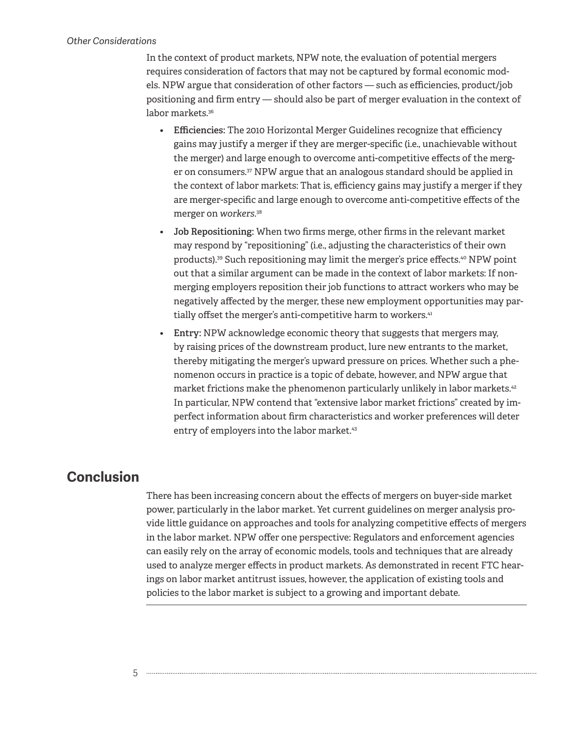#### *Other Considerations*

In the context of product markets, NPW note, the evaluation of potential mergers requires consideration of factors that may not be captured by formal economic models. NPW argue that consideration of other factors — such as efficiencies, product/job positioning and firm entry — should also be part of merger evaluation in the context of labor markets.<sup>36</sup>

- **• Efficiencies:** The 2010 Horizontal Merger Guidelines recognize that efficiency gains may justify a merger if they are merger-specific (i.e., unachievable without the merger) and large enough to overcome anti-competitive effects of the merger on consumers.37 NPW argue that an analogous standard should be applied in the context of labor markets: That is, efficiency gains may justify a merger if they are merger-specific and large enough to overcome anti-competitive effects of the merger on *workers*. 38
- **• Job Repositioning:** When two firms merge, other firms in the relevant market may respond by "repositioning" (i.e., adjusting the characteristics of their own products).39 Such repositioning may limit the merger's price effects.40 NPW point out that a similar argument can be made in the context of labor markets: If nonmerging employers reposition their job functions to attract workers who may be negatively affected by the merger, these new employment opportunities may partially offset the merger's anti-competitive harm to workers.<sup>41</sup>
- **• Entry:** NPW acknowledge economic theory that suggests that mergers may, by raising prices of the downstream product, lure new entrants to the market, thereby mitigating the merger's upward pressure on prices. Whether such a phenomenon occurs in practice is a topic of debate, however, and NPW argue that market frictions make the phenomenon particularly unlikely in labor markets.<sup>42</sup> In particular, NPW contend that "extensive labor market frictions" created by imperfect information about firm characteristics and worker preferences will deter entry of employers into the labor market.<sup>43</sup>

# **Conclusion**

There has been increasing concern about the effects of mergers on buyer-side market power, particularly in the labor market. Yet current guidelines on merger analysis provide little guidance on approaches and tools for analyzing competitive effects of mergers in the labor market. NPW offer one perspective: Regulators and enforcement agencies can easily rely on the array of economic models, tools and techniques that are already used to analyze merger effects in product markets. As demonstrated in recent FTC hearings on labor market antitrust issues, however, the application of existing tools and policies to the labor market is subject to a growing and important debate.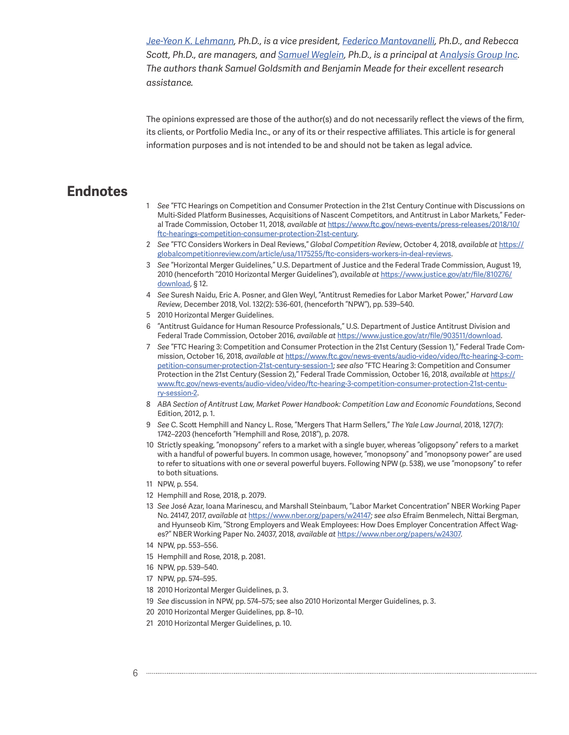*[Jee-Yeon K. Lehmann,](https://www.analysisgroup.com/experts-and-consultants/vice-presidents/jee-yeon-lehmann/) Ph.D., is a vice president, [Federico Mantovanelli,](https://www.analysisgroup.com/experts-and-consultants/managers/federico-mantovanelli/) Ph.D., and Rebecca Scott, Ph.D., are managers, and Samuel Weglein, Ph.D., is a principal at <i>[Analysis Group Inc](https://www.law360.com/companies/analysis-group-inc)*. *The authors thank Samuel Goldsmith and Benjamin Meade for their excellent research assistance.*

The opinions expressed are those of the author(s) and do not necessarily reflect the views of the firm, its clients, or Portfolio Media Inc., or any of its or their respective affiliates. This article is for general information purposes and is not intended to be and should not be taken as legal advice.

## **Endnotes**

- 1 *See* "FTC Hearings on Competition and Consumer Protection in the 21st Century Continue with Discussions on Multi-Sided Platform Businesses, Acquisitions of Nascent Competitors, and Antitrust in Labor Markets," Federal Trade Commission, October 11, 2018, *available at* [https://www.ftc.gov/news-events/press-releases/2018/10/](https://www.ftc.gov/news-events/press-releases/2018/10/ftc-hearings-competition-consumer-protection-21st-century) [ftc-hearings-competition-consumer-protection-21st-century](https://www.ftc.gov/news-events/press-releases/2018/10/ftc-hearings-competition-consumer-protection-21st-century).
- 2 *See* "FTC Considers Workers in Deal Reviews," *Global Competition Review*, October 4, 2018, *available at* [https://](https://globalcompetitionreview.com/article/usa/1175255/ftc-considers-workers-in-deal-reviews) [globalcompetitionreview.com/article/usa/1175255/ftc-considers-workers-in-deal-reviews.](https://globalcompetitionreview.com/article/usa/1175255/ftc-considers-workers-in-deal-reviews)
- 3 *See* "Horizontal Merger Guidelines," U.S. Department of Justice and the Federal Trade Commission, August 19, 2010 (henceforth "2010 Horizontal Merger Guidelines"), *available at* [https://www.justice.gov/atr/file/810276/](https://www.justice.gov/atr/file/810276/download) [download,](https://www.justice.gov/atr/file/810276/download) § 12.
- 4 *See* Suresh Naidu, Eric A. Posner, and Glen Weyl, "Antitrust Remedies for Labor Market Power," *Harvard Law Review*, December 2018, Vol. 132(2): 536-601, (henceforth "NPW"), pp. 539–540.
- 5 2010 Horizontal Merger Guidelines.
- 6 "Antitrust Guidance for Human Resource Professionals," U.S. Department of Justice Antitrust Division and Federal Trade Commission, October 2016, *available at* <https://www.justice.gov/atr/file/903511/download>.
- 7 *See* "FTC Hearing 3: Competition and Consumer Protection in the 21st Century (Session 1)," Federal Trade Commission, October 16, 2018, *available at* [https://www.ftc.gov/news-events/audio-video/video/ftc-hearing-3-com](https://www.ftc.gov/news-events/audio-video/video/ftc-hearing-3-competition-consumer-protection-21st-century-session-1)[petition-consumer-protection-21st-century-session-1;](https://www.ftc.gov/news-events/audio-video/video/ftc-hearing-3-competition-consumer-protection-21st-century-session-1) *see also* "FTC Hearing 3: Competition and Consumer Protection in the 21st Century (Session 2)," Federal Trade Commission, October 16, 2018, *available at* [https://](https://www.ftc.gov/news-events/audio-video/video/ftc-hearing-3-competition-consumer-protection-21st-century-session-2) [www.ftc.gov/news-events/audio-video/video/ftc-hearing-3-competition-consumer-protection-21st-centu](https://www.ftc.gov/news-events/audio-video/video/ftc-hearing-3-competition-consumer-protection-21st-century-session-2)[ry-session-2](https://www.ftc.gov/news-events/audio-video/video/ftc-hearing-3-competition-consumer-protection-21st-century-session-2).
- 8 *ABA Section of Antitrust Law, Market Power Handbook: Competition Law and Economic Foundations*, Second Edition, 2012, p. 1.
- 9 *See* C. Scott Hemphill and Nancy L. Rose, "Mergers That Harm Sellers," *The Yale Law Journal*, 2018, 127(7): 1742–2203 (henceforth "Hemphill and Rose, 2018"), p. 2078.
- 10 Strictly speaking, "monopsony" refers to a market with a single buyer, whereas "oligopsony" refers to a market with a handful of powerful buyers. In common usage, however, "monopsony" and "monopsony power" are used to refer to situations with one *or* several powerful buyers. Following NPW (p. 538), we use "monopsony" to refer to both situations.
- 11 NPW, p. 554.
- 12 Hemphill and Rose, 2018, p. 2079.
- 13 *See* José Azar, Ioana Marinescu, and Marshall Steinbaum, "Labor Market Concentration" NBER Working Paper No. 24147, 2017, *available at* <https://www.nber.org/papers/w24147>; *see also* Efraim Benmelech, Nittai Bergman, and Hyunseob Kim, "Strong Employers and Weak Employees: How Does Employer Concentration Affect Wages?" NBER Working Paper No. 24037, 2018, *available at* [https://www.nber.org/papers/w24307.](https://www.nber.org/papers/w24307)
- 14 NPW, pp. 553–556.
- 15 Hemphill and Rose, 2018, p. 2081.
- 16 NPW, pp. 539–540.
- 17 NPW, pp. 574–595.

- 18 2010 Horizontal Merger Guidelines, p. 3.
- 19 *See* discussion in NPW, pp. 574–575; see also 2010 Horizontal Merger Guidelines, p. 3.
- 20 2010 Horizontal Merger Guidelines, pp. 8–10.
- 21 2010 Horizontal Merger Guidelines, p. 10.